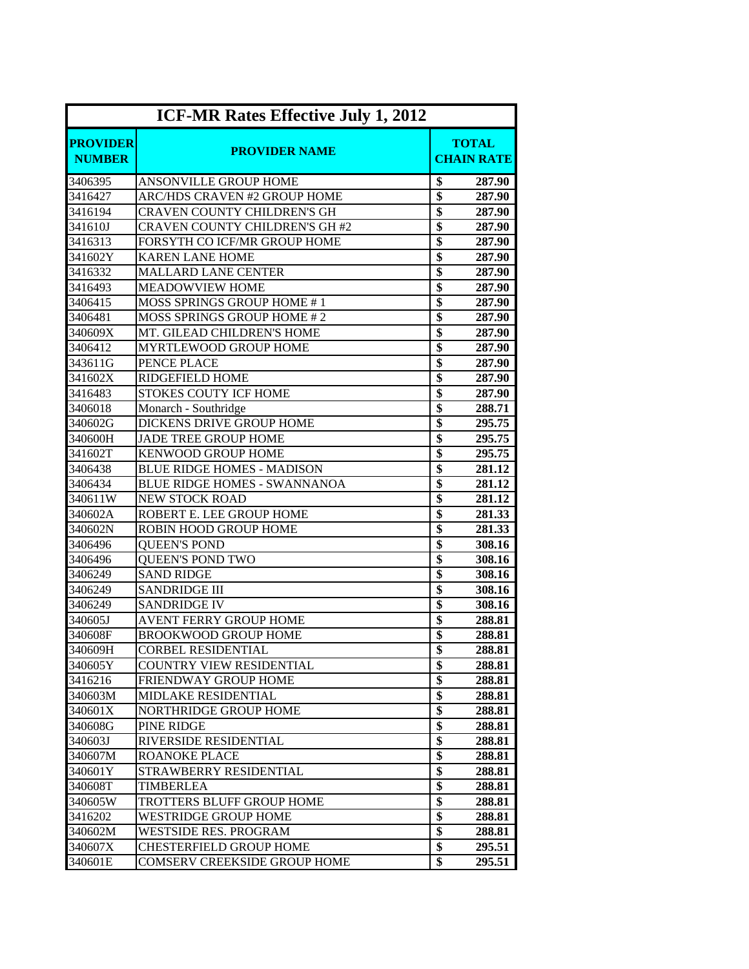| <b>ICF-MR Rates Effective July 1, 2012</b> |                                       |                                   |        |
|--------------------------------------------|---------------------------------------|-----------------------------------|--------|
| <b>PROVIDER</b><br><b>NUMBER</b>           | <b>PROVIDER NAME</b>                  | <b>TOTAL</b><br><b>CHAIN RATE</b> |        |
| 3406395                                    | <b>ANSONVILLE GROUP HOME</b>          | \$                                | 287.90 |
| 3416427                                    | ARC/HDS CRAVEN #2 GROUP HOME          | \$                                | 287.90 |
| 3416194                                    | <b>CRAVEN COUNTY CHILDREN'S GH</b>    | \$                                | 287.90 |
| 341610J                                    | <b>CRAVEN COUNTY CHILDREN'S GH #2</b> | \$                                | 287.90 |
| 3416313                                    | FORSYTH CO ICF/MR GROUP HOME          | \$                                | 287.90 |
| 341602Y                                    | <b>KAREN LANE HOME</b>                | $\overline{\$}$                   | 287.90 |
| 3416332                                    | <b>MALLARD LANE CENTER</b>            | \$                                | 287.90 |
| 3416493                                    | <b>MEADOWVIEW HOME</b>                | $\overline{\$}$                   | 287.90 |
| 3406415                                    | MOSS SPRINGS GROUP HOME #1            | \$                                | 287.90 |
| 3406481                                    | MOSS SPRINGS GROUP HOME #2            | \$                                | 287.90 |
| 340609X                                    | MT. GILEAD CHILDREN'S HOME            | $\overline{\$}$                   | 287.90 |
| 3406412                                    | MYRTLEWOOD GROUP HOME                 | $\overline{\$}$                   | 287.90 |
| 343611G                                    | PENCE PLACE                           | \$                                | 287.90 |
| 341602X                                    | <b>RIDGEFIELD HOME</b>                | $\overline{\$}$                   | 287.90 |
| 3416483                                    | <b>STOKES COUTY ICF HOME</b>          | \$                                | 287.90 |
| 3406018                                    | Monarch - Southridge                  | $\overline{\$}$                   | 288.71 |
| 340602G                                    | <b>DICKENS DRIVE GROUP HOME</b>       | $\overline{\$}$                   | 295.75 |
| 340600H                                    | <b>JADE TREE GROUP HOME</b>           | $\overline{\$}$                   | 295.75 |
| 341602T                                    | <b>KENWOOD GROUP HOME</b>             | $\overline{\$}$                   | 295.75 |
| 3406438                                    | <b>BLUE RIDGE HOMES - MADISON</b>     | $\overline{\$}$                   | 281.12 |
| 3406434                                    | <b>BLUE RIDGE HOMES - SWANNANOA</b>   | \$                                | 281.12 |
| 340611W                                    | <b>NEW STOCK ROAD</b>                 | $\overline{\$}$                   | 281.12 |
| 340602A                                    | ROBERT E. LEE GROUP HOME              | \$                                | 281.33 |
| 340602N                                    | ROBIN HOOD GROUP HOME                 | $\overline{\$}$                   | 281.33 |
| 3406496                                    | <b>QUEEN'S POND</b>                   | \$                                | 308.16 |
| 3406496                                    | <b>QUEEN'S POND TWO</b>               | \$                                | 308.16 |
| 3406249                                    | <b>SAND RIDGE</b>                     | \$                                | 308.16 |
| 3406249                                    | <b>SANDRIDGE III</b>                  | \$                                | 308.16 |
| 3406249                                    | <b>SANDRIDGE IV</b>                   | \$                                | 308.16 |
| 340605J                                    | <b>AVENT FERRY GROUP HOME</b>         | \$                                | 288.81 |
| 340608F                                    | <b>BROOKWOOD GROUP HOME</b>           | $\overline{\$}$                   | 288.81 |
| 340609H                                    | CORBEL RESIDENTIAL                    | \$                                | 288.81 |
| 340605Y                                    | <b>COUNTRY VIEW RESIDENTIAL</b>       | \$                                | 288.81 |
| 3416216                                    | FRIENDWAY GROUP HOME                  | \$                                | 288.81 |
| 340603M                                    | MIDLAKE RESIDENTIAL                   | \$                                | 288.81 |
| 340601X                                    | NORTHRIDGE GROUP HOME                 | \$                                | 288.81 |
| 340608G                                    | PINE RIDGE                            | \$                                | 288.81 |
| 340603J                                    | RIVERSIDE RESIDENTIAL                 | \$                                | 288.81 |
| 340607M                                    | ROANOKE PLACE                         | $\overline{\$}$                   | 288.81 |
| 340601Y                                    | STRAWBERRY RESIDENTIAL                | \$                                | 288.81 |
| 340608T                                    | <b>TIMBERLEA</b>                      | $\overline{\$}$                   | 288.81 |
|                                            |                                       | \$                                | 288.81 |
| 340605W                                    | TROTTERS BLUFF GROUP HOME             | \$                                |        |
| 3416202                                    | <b>WESTRIDGE GROUP HOME</b>           | \$                                | 288.81 |
| 340602M                                    | <b>WESTSIDE RES. PROGRAM</b>          | \$                                | 288.81 |
| 340607X                                    | <b>CHESTERFIELD GROUP HOME</b>        |                                   | 295.51 |
| 340601E                                    | <b>COMSERV CREEKSIDE GROUP HOME</b>   | \$                                | 295.51 |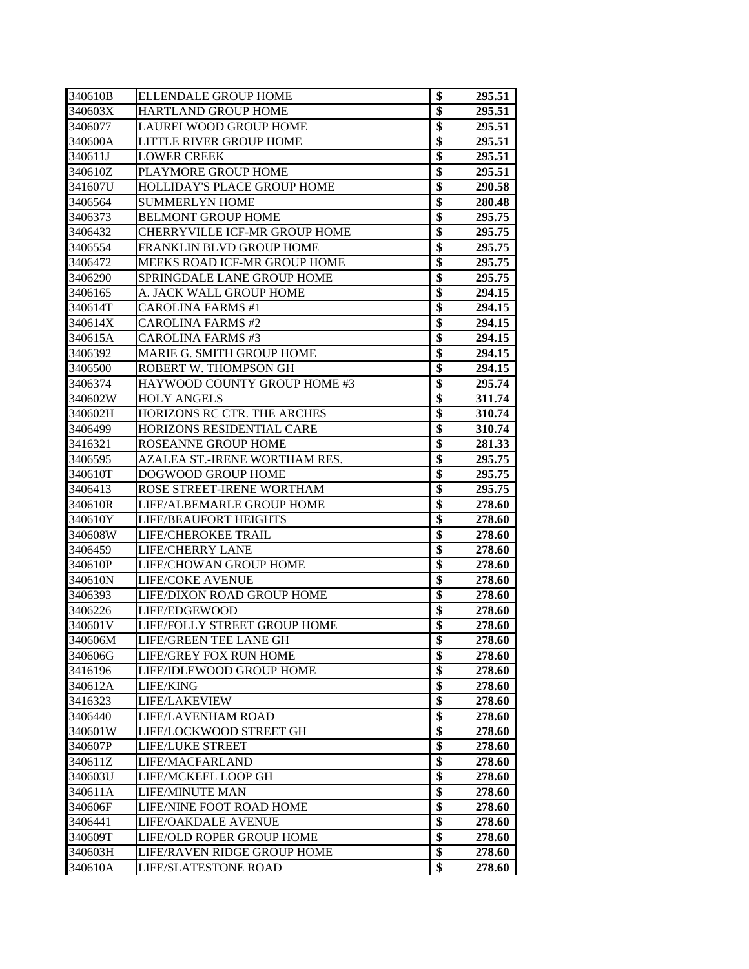| 340610B | ELLENDALE GROUP HOME                | \$              | 295.51 |
|---------|-------------------------------------|-----------------|--------|
| 340603X | <b>HARTLAND GROUP HOME</b>          | \$              | 295.51 |
| 3406077 | LAURELWOOD GROUP HOME               | $\overline{\$}$ | 295.51 |
| 340600A | LITTLE RIVER GROUP HOME             | $\overline{\$}$ | 295.51 |
| 340611J | <b>LOWER CREEK</b>                  | \$              | 295.51 |
| 340610Z | PLAYMORE GROUP HOME                 | \$              | 295.51 |
| 341607U | HOLLIDAY'S PLACE GROUP HOME         | \$              | 290.58 |
| 3406564 | <b>SUMMERLYN HOME</b>               | $\overline{\$}$ | 280.48 |
| 3406373 | <b>BELMONT GROUP HOME</b>           | \$              | 295.75 |
| 3406432 | CHERRYVILLE ICF-MR GROUP HOME       | $\overline{\$}$ | 295.75 |
| 3406554 | FRANKLIN BLVD GROUP HOME            | $\overline{\$}$ | 295.75 |
| 3406472 | MEEKS ROAD ICF-MR GROUP HOME        | $\overline{\$}$ | 295.75 |
| 3406290 | SPRINGDALE LANE GROUP HOME          | $\overline{\$}$ | 295.75 |
| 3406165 | A. JACK WALL GROUP HOME             | $\overline{\$}$ | 294.15 |
| 340614T | <b>CAROLINA FARMS #1</b>            | $\overline{\$}$ | 294.15 |
| 340614X | <b>CAROLINA FARMS #2</b>            | $\overline{\$}$ | 294.15 |
| 340615A | <b>CAROLINA FARMS #3</b>            | \$              | 294.15 |
| 3406392 | MARIE G. SMITH GROUP HOME           | $\overline{\$}$ | 294.15 |
| 3406500 | ROBERT W. THOMPSON GH               | $\overline{\$}$ | 294.15 |
| 3406374 | HAYWOOD COUNTY GROUP HOME #3        | \$              | 295.74 |
| 340602W | <b>HOLY ANGELS</b>                  | $\overline{\$}$ | 311.74 |
| 340602H | HORIZONS RC CTR. THE ARCHES         | $\overline{\$}$ | 310.74 |
| 3406499 | HORIZONS RESIDENTIAL CARE           | \$              | 310.74 |
| 3416321 | <b>ROSEANNE GROUP HOME</b>          | $\overline{\$}$ | 281.33 |
| 3406595 | AZALEA ST.-IRENE WORTHAM RES.       | \$              | 295.75 |
| 340610T | DOGWOOD GROUP HOME                  | $\overline{\$}$ | 295.75 |
| 3406413 | ROSE STREET-IRENE WORTHAM           | $\overline{\$}$ | 295.75 |
| 340610R | LIFE/ALBEMARLE GROUP HOME           | $\overline{\$}$ | 278.60 |
| 340610Y | <b>LIFE/BEAUFORT HEIGHTS</b>        | \$              | 278.60 |
| 340608W | <b>LIFE/CHEROKEE TRAIL</b>          | $\overline{\$}$ | 278.60 |
| 3406459 | <b>LIFE/CHERRY LANE</b>             | \$              | 278.60 |
| 340610P | LIFE/CHOWAN GROUP HOME              | $\overline{\$}$ | 278.60 |
| 340610N | <b>LIFE/COKE AVENUE</b>             | $\overline{\$}$ | 278.60 |
| 3406393 | LIFE/DIXON ROAD GROUP HOME          | \$              | 278.60 |
| 3406226 | LIFE/EDGEWOOD                       | $\overline{\$}$ | 278.60 |
| 340601V | <b>LIFE/FOLLY STREET GROUP HOME</b> | \$              | 278.60 |
| 340606M | LIFE/GREEN TEE LANE GH              | \$              | 278.60 |
| 340606G | LIFE/GREY FOX RUN HOME              | \$              | 278.60 |
| 3416196 | LIFE/IDLEWOOD GROUP HOME            | \$              | 278.60 |
| 340612A | LIFE/KING                           | \$              | 278.60 |
| 3416323 | LIFE/LAKEVIEW                       | $\overline{\$}$ | 278.60 |
| 3406440 | LIFE/LAVENHAM ROAD                  | \$              | 278.60 |
| 340601W | LIFE/LOCKWOOD STREET GH             | $\overline{\$}$ | 278.60 |
| 340607P | <b>LIFE/LUKE STREET</b>             | \$              | 278.60 |
| 340611Z | LIFE/MACFARLAND                     | \$              | 278.60 |
| 340603U | LIFE/MCKEEL LOOP GH                 | $\overline{\$}$ | 278.60 |
| 340611A | <b>LIFE/MINUTE MAN</b>              | $\overline{\$}$ | 278.60 |
| 340606F | LIFE/NINE FOOT ROAD HOME            | \$              | 278.60 |
| 3406441 | LIFE/OAKDALE AVENUE                 | $\overline{\$}$ | 278.60 |
| 340609T | LIFE/OLD ROPER GROUP HOME           | \$              | 278.60 |
| 340603H | LIFE/RAVEN RIDGE GROUP HOME         | $\overline{\$}$ | 278.60 |
| 340610A | <b>LIFE/SLATESTONE ROAD</b>         | \$              | 278.60 |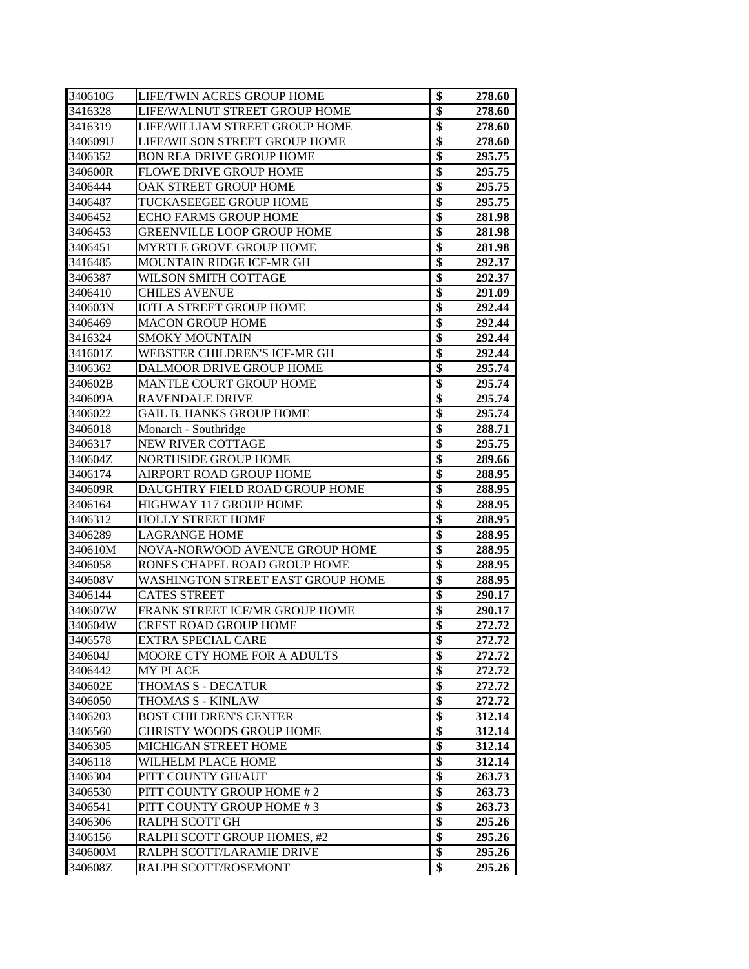| 340610G | <b>LIFE/TWIN ACRES GROUP HOME</b>        | \$              | 278.60 |
|---------|------------------------------------------|-----------------|--------|
| 3416328 | LIFE/WALNUT STREET GROUP HOME            | \$              | 278.60 |
| 3416319 | LIFE/WILLIAM STREET GROUP HOME           | $\overline{\$}$ | 278.60 |
| 340609U | LIFE/WILSON STREET GROUP HOME            | \$              | 278.60 |
| 3406352 | <b>BON REA DRIVE GROUP HOME</b>          | \$              | 295.75 |
| 340600R | <b>FLOWE DRIVE GROUP HOME</b>            | $\overline{\$}$ | 295.75 |
| 3406444 | OAK STREET GROUP HOME                    | $\overline{\$}$ | 295.75 |
| 3406487 | <b>TUCKASEEGEE GROUP HOME</b>            | $\overline{\$}$ | 295.75 |
| 3406452 | <b>ECHO FARMS GROUP HOME</b>             | $\overline{\$}$ | 281.98 |
| 3406453 | <b>GREENVILLE LOOP GROUP HOME</b>        | $\overline{\$}$ | 281.98 |
| 3406451 | MYRTLE GROVE GROUP HOME                  | $\overline{\$}$ | 281.98 |
| 3416485 | MOUNTAIN RIDGE ICF-MR GH                 | $\overline{\$}$ | 292.37 |
| 3406387 | WILSON SMITH COTTAGE                     | $\overline{\$}$ | 292.37 |
| 3406410 | <b>CHILES AVENUE</b>                     | $\overline{\$}$ | 291.09 |
| 340603N | <b>IOTLA STREET GROUP HOME</b>           | $\overline{\$}$ | 292.44 |
| 3406469 | <b>MACON GROUP HOME</b>                  | \$              | 292.44 |
| 3416324 | <b>SMOKY MOUNTAIN</b>                    | $\overline{\$}$ | 292.44 |
| 341601Z | WEBSTER CHILDREN'S ICF-MR GH             | \$              | 292.44 |
| 3406362 | DALMOOR DRIVE GROUP HOME                 | \$              | 295.74 |
| 340602B | <b>MANTLE COURT GROUP HOME</b>           | \$              | 295.74 |
| 340609A | <b>RAVENDALE DRIVE</b>                   | \$              | 295.74 |
| 3406022 | <b>GAIL B. HANKS GROUP HOME</b>          | \$              | 295.74 |
| 3406018 | Monarch - Southridge                     | $\overline{\$}$ | 288.71 |
| 3406317 | <b>NEW RIVER COTTAGE</b>                 | $\overline{\$}$ | 295.75 |
| 340604Z | <b>NORTHSIDE GROUP HOME</b>              | $\overline{\$}$ | 289.66 |
| 3406174 | AIRPORT ROAD GROUP HOME                  | $\overline{\$}$ | 288.95 |
| 340609R | DAUGHTRY FIELD ROAD GROUP HOME           | $\overline{\$}$ | 288.95 |
| 3406164 | HIGHWAY 117 GROUP HOME                   | $\overline{\$}$ | 288.95 |
| 3406312 | <b>HOLLY STREET HOME</b>                 | $\overline{\$}$ | 288.95 |
| 3406289 | <b>LAGRANGE HOME</b>                     | \$              | 288.95 |
| 340610M | NOVA-NORWOOD AVENUE GROUP HOME           | $\overline{\$}$ | 288.95 |
| 3406058 | RONES CHAPEL ROAD GROUP HOME             | \$              | 288.95 |
| 340608V | <b>WASHINGTON STREET EAST GROUP HOME</b> | \$              | 288.95 |
| 3406144 | <b>CATES STREET</b>                      | $\overline{\$}$ | 290.17 |
| 340607W | FRANK STREET ICF/MR GROUP HOME           | \$              | 290.17 |
| 340604W | <b>CREST ROAD GROUP HOME</b>             | $\overline{\$}$ | 272.72 |
| 3406578 | <b>EXTRA SPECIAL CARE</b>                | \$              | 272.72 |
| 340604J | MOORE CTY HOME FOR A ADULTS              | \$              | 272.72 |
| 3406442 | MY PLACE                                 | \$              | 272.72 |
| 340602E | THOMAS S - DECATUR                       | $\overline{\$}$ | 272.72 |
| 3406050 | THOMAS S - KINLAW                        | $\overline{\$}$ | 272.72 |
| 3406203 | <b>BOST CHILDREN'S CENTER</b>            | $\overline{\$}$ | 312.14 |
| 3406560 | <b>CHRISTY WOODS GROUP HOME</b>          | \$              | 312.14 |
| 3406305 | MICHIGAN STREET HOME                     | $\overline{\$}$ | 312.14 |
| 3406118 | WILHELM PLACE HOME                       | $\overline{\$}$ | 312.14 |
| 3406304 | PITT COUNTY GH/AUT                       | $\overline{\$}$ | 263.73 |
| 3406530 | PITT COUNTY GROUP HOME #2                | $\overline{\$}$ | 263.73 |
| 3406541 | PITT COUNTY GROUP HOME #3                | $\overline{\$}$ | 263.73 |
| 3406306 | RALPH SCOTT GH                           | $\overline{\$}$ | 295.26 |
| 3406156 | RALPH SCOTT GROUP HOMES, #2              | $\overline{\$}$ | 295.26 |
| 340600M | RALPH SCOTT/LARAMIE DRIVE                | \$              | 295.26 |
| 340608Z | RALPH SCOTT/ROSEMONT                     | \$              | 295.26 |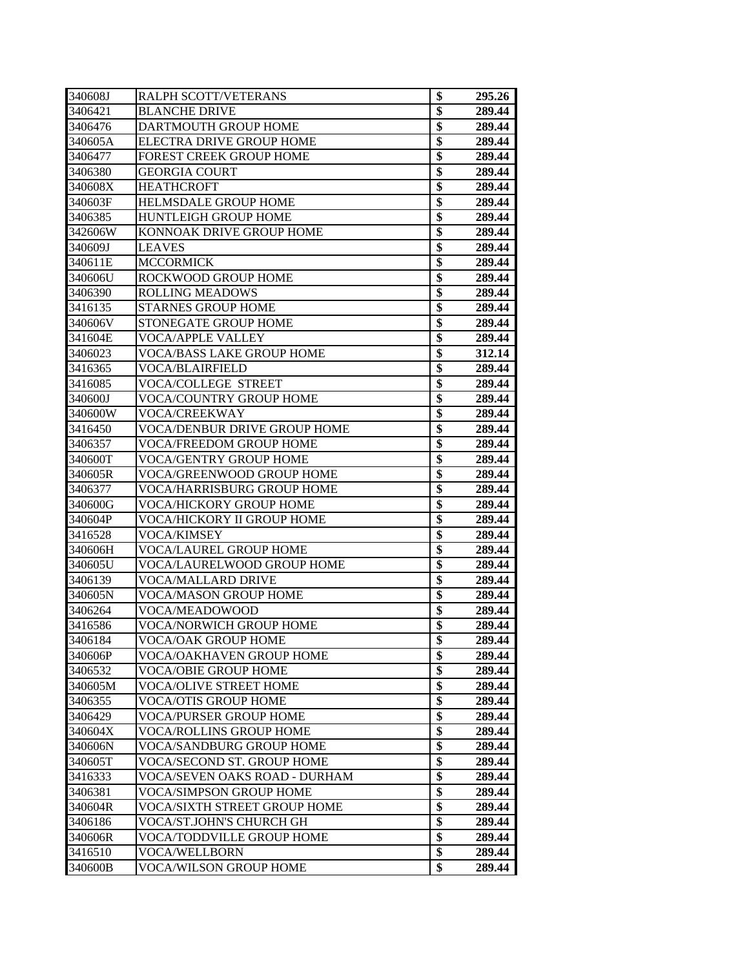| 340608J | RALPH SCOTT/VETERANS                | \$              | 295.26 |
|---------|-------------------------------------|-----------------|--------|
| 3406421 | <b>BLANCHE DRIVE</b>                | \$              | 289.44 |
| 3406476 | DARTMOUTH GROUP HOME                | \$              | 289.44 |
| 340605A | ELECTRA DRIVE GROUP HOME            | \$              | 289.44 |
| 3406477 | <b>FOREST CREEK GROUP HOME</b>      | \$              | 289.44 |
| 3406380 | <b>GEORGIA COURT</b>                | \$              | 289.44 |
| 340608X | <b>HEATHCROFT</b>                   | \$              | 289.44 |
| 340603F | <b>HELMSDALE GROUP HOME</b>         | $\overline{\$}$ | 289.44 |
| 3406385 | HUNTLEIGH GROUP HOME                | \$              | 289.44 |
| 342606W | KONNOAK DRIVE GROUP HOME            | $\overline{\$}$ | 289.44 |
| 340609J | <b>LEAVES</b>                       | $\overline{\$}$ | 289.44 |
| 340611E | <b>MCCORMICK</b>                    | $\overline{\$}$ | 289.44 |
| 340606U | ROCKWOOD GROUP HOME                 | $\overline{\$}$ | 289.44 |
| 3406390 | <b>ROLLING MEADOWS</b>              | $\overline{\$}$ | 289.44 |
| 3416135 | <b>STARNES GROUP HOME</b>           | \$              | 289.44 |
| 340606V | <b>STONEGATE GROUP HOME</b>         | $\overline{\$}$ | 289.44 |
| 341604E | <b>VOCA/APPLE VALLEY</b>            | \$              | 289.44 |
| 3406023 | VOCA/BASS LAKE GROUP HOME           | $\overline{\$}$ | 312.14 |
| 3416365 | <b>VOCA/BLAIRFIELD</b>              | \$              | 289.44 |
| 3416085 | <b>VOCA/COLLEGE STREET</b>          | $\overline{\$}$ | 289.44 |
| 340600J | VOCA/COUNTRY GROUP HOME             | $\overline{\$}$ | 289.44 |
| 340600W | <b>VOCA/CREEKWAY</b>                | $\overline{\$}$ | 289.44 |
| 3416450 | <b>VOCA/DENBUR DRIVE GROUP HOME</b> | \$              | 289.44 |
| 3406357 | <b>VOCA/FREEDOM GROUP HOME</b>      | \$              | 289.44 |
| 340600T | <b>VOCA/GENTRY GROUP HOME</b>       | \$              | 289.44 |
| 340605R | VOCA/GREENWOOD GROUP HOME           | $\overline{\$}$ | 289.44 |
| 3406377 | VOCA/HARRISBURG GROUP HOME          | $\overline{\$}$ | 289.44 |
| 340600G | VOCA/HICKORY GROUP HOME             | $\overline{\$}$ | 289.44 |
| 340604P | VOCA/HICKORY II GROUP HOME          | $\overline{\$}$ | 289.44 |
| 3416528 | VOCA/KIMSEY                         | $\overline{\$}$ | 289.44 |
| 340606H | <b>VOCA/LAUREL GROUP HOME</b>       | $\overline{\$}$ | 289.44 |
| 340605U | VOCA/LAURELWOOD GROUP HOME          | \$              | 289.44 |
| 3406139 | <b>VOCA/MALLARD DRIVE</b>           | $\overline{\$}$ | 289.44 |
| 340605N | <b>VOCA/MASON GROUP HOME</b>        | \$              | 289.44 |
| 3406264 | VOCA/MEADOWOOD                      | $\overline{\$}$ | 289.44 |
| 3416586 | <b>VOCA/NORWICH GROUP HOME</b>      | $\overline{\$}$ | 289.44 |
| 3406184 | VOCA/OAK GROUP HOME                 | φ               | 289.44 |
| 340606P | <b>VOCA/OAKHAVEN GROUP HOME</b>     | \$              | 289.44 |
| 3406532 | VOCA/OBIE GROUP HOME                | \$              | 289.44 |
| 340605M | <b>VOCA/OLIVE STREET HOME</b>       | \$              | 289.44 |
| 3406355 | <b>VOCA/OTIS GROUP HOME</b>         | $\overline{\$}$ | 289.44 |
| 3406429 | <b>VOCA/PURSER GROUP HOME</b>       | \$              | 289.44 |
| 340604X | VOCA/ROLLINS GROUP HOME             | $\overline{\$}$ | 289.44 |
| 340606N | VOCA/SANDBURG GROUP HOME            | \$              | 289.44 |
| 340605T | VOCA/SECOND ST. GROUP HOME          | $\overline{\$}$ | 289.44 |
| 3416333 | VOCA/SEVEN OAKS ROAD - DURHAM       | $\overline{\$}$ | 289.44 |
| 3406381 | <b>VOCA/SIMPSON GROUP HOME</b>      | $\overline{\$}$ | 289.44 |
| 340604R | <b>VOCA/SIXTH STREET GROUP HOME</b> | \$              | 289.44 |
| 3406186 | VOCA/ST.JOHN'S CHURCH GH            | $\overline{\$}$ | 289.44 |
| 340606R | VOCA/TODDVILLE GROUP HOME           | \$              | 289.44 |
| 3416510 | VOCA/WELLBORN                       | $\overline{\$}$ | 289.44 |
| 340600B | <b>VOCA/WILSON GROUP HOME</b>       | \$              | 289.44 |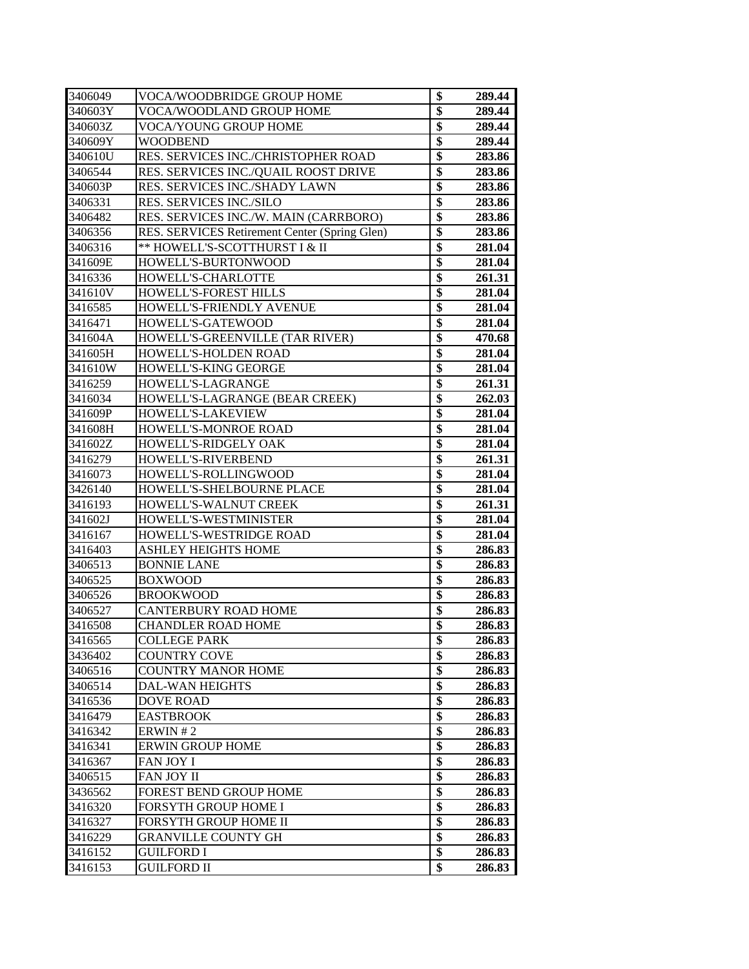| 3406049 | <b>VOCA/WOODBRIDGE GROUP HOME</b>             | \$              | 289.44 |
|---------|-----------------------------------------------|-----------------|--------|
| 340603Y | VOCA/WOODLAND GROUP HOME                      | \$              | 289.44 |
| 340603Z | <b>VOCA/YOUNG GROUP HOME</b>                  | \$              | 289.44 |
| 340609Y | WOODBEND                                      | \$              | 289.44 |
| 340610U | RES. SERVICES INC./CHRISTOPHER ROAD           | \$              | 283.86 |
| 3406544 | RES. SERVICES INC./QUAIL ROOST DRIVE          | \$              | 283.86 |
| 340603P | RES. SERVICES INC./SHADY LAWN                 | $\overline{\$}$ | 283.86 |
| 3406331 | RES. SERVICES INC./SILO                       | $\overline{\$}$ | 283.86 |
| 3406482 | RES. SERVICES INC./W. MAIN (CARRBORO)         | $\overline{\$}$ | 283.86 |
| 3406356 | RES. SERVICES Retirement Center (Spring Glen) | $\overline{\$}$ | 283.86 |
| 3406316 | ** HOWELL'S-SCOTTHURST I & II                 | $\overline{\$}$ | 281.04 |
| 341609E | HOWELL'S-BURTONWOOD                           | $\overline{\$}$ | 281.04 |
| 3416336 | HOWELL'S-CHARLOTTE                            | $\overline{\$}$ | 261.31 |
| 341610V | <b>HOWELL'S-FOREST HILLS</b>                  | $\overline{\$}$ | 281.04 |
| 3416585 | HOWELL'S-FRIENDLY AVENUE                      | $\overline{\$}$ | 281.04 |
| 3416471 | HOWELL'S-GATEWOOD                             | \$              | 281.04 |
| 341604A | HOWELL'S-GREENVILLE (TAR RIVER)               | $\overline{\$}$ | 470.68 |
| 341605H | <b>HOWELL'S-HOLDEN ROAD</b>                   | \$              | 281.04 |
| 341610W | <b>HOWELL'S-KING GEORGE</b>                   | \$              | 281.04 |
| 3416259 | HOWELL'S-LAGRANGE                             | \$              | 261.31 |
| 3416034 | HOWELL'S-LAGRANGE (BEAR CREEK)                | \$              | 262.03 |
| 341609P | HOWELL'S-LAKEVIEW                             | \$              | 281.04 |
| 341608H | HOWELL'S-MONROE ROAD                          | $\overline{\$}$ | 281.04 |
| 341602Z | HOWELL'S-RIDGELY OAK                          | \$              | 281.04 |
| 3416279 | HOWELL'S-RIVERBEND                            | $\overline{\$}$ | 261.31 |
| 3416073 | HOWELL'S-ROLLINGWOOD                          | $\overline{\$}$ | 281.04 |
| 3426140 | HOWELL'S-SHELBOURNE PLACE                     | $\overline{\$}$ | 281.04 |
| 3416193 | HOWELL'S-WALNUT CREEK                         | $\overline{\$}$ | 261.31 |
| 341602J | HOWELL'S-WESTMINISTER                         | $\overline{\$}$ | 281.04 |
| 3416167 | HOWELL'S-WESTRIDGE ROAD                       | \$              | 281.04 |
| 3416403 | <b>ASHLEY HEIGHTS HOME</b>                    | $\overline{\$}$ | 286.83 |
| 3406513 | <b>BONNIE LANE</b>                            | \$              | 286.83 |
| 3406525 | <b>BOXWOOD</b>                                | $\overline{\$}$ | 286.83 |
| 3406526 | <b>BROOKWOOD</b>                              | $\overline{\$}$ | 286.83 |
| 3406527 | <b>CANTERBURY ROAD HOME</b>                   | \$              | 286.83 |
| 3416508 | <b>CHANDLER ROAD HOME</b>                     | \$              | 286.83 |
| 3416565 | <b>COLLEGE PARK</b>                           | \$              | 286.83 |
| 3436402 | <b>COUNTRY COVE</b>                           | \$              | 286.83 |
| 3406516 | <b>COUNTRY MANOR HOME</b>                     | \$              | 286.83 |
| 3406514 | <b>DAL-WAN HEIGHTS</b>                        | $\overline{\$}$ | 286.83 |
| 3416536 | <b>DOVE ROAD</b>                              | $\overline{\$}$ | 286.83 |
| 3416479 | <b>EASTBROOK</b>                              | $\overline{\$}$ | 286.83 |
| 3416342 | ERWIN#2                                       | \$              | 286.83 |
| 3416341 | <b>ERWIN GROUP HOME</b>                       | \$              | 286.83 |
| 3416367 | <b>FAN JOY I</b>                              | $\overline{\$}$ | 286.83 |
| 3406515 | <b>FAN JOY II</b>                             | $\overline{\$}$ | 286.83 |
| 3436562 | FOREST BEND GROUP HOME                        | \$              | 286.83 |
| 3416320 | <b>FORSYTH GROUP HOME I</b>                   | $\overline{\$}$ | 286.83 |
| 3416327 | <b>FORSYTH GROUP HOME II</b>                  | \$              | 286.83 |
| 3416229 | <b>GRANVILLE COUNTY GH</b>                    | $\overline{\$}$ | 286.83 |
| 3416152 | <b>GUILFORD I</b>                             | \$              | 286.83 |
| 3416153 | <b>GUILFORD II</b>                            | \$              | 286.83 |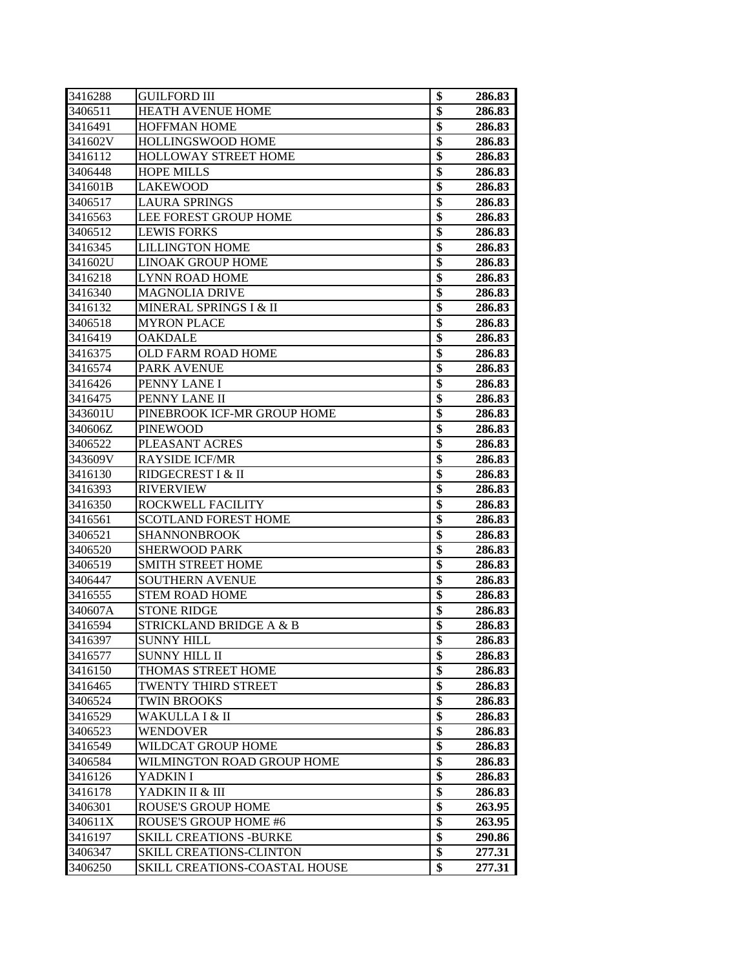| 3416288 | <b>GUILFORD III</b>                | \$              | 286.83 |
|---------|------------------------------------|-----------------|--------|
| 3406511 | <b>HEATH AVENUE HOME</b>           | \$              | 286.83 |
| 3416491 | <b>HOFFMAN HOME</b>                | \$              | 286.83 |
| 341602V | <b>HOLLINGSWOOD HOME</b>           | \$              | 286.83 |
| 3416112 | <b>HOLLOWAY STREET HOME</b>        | \$              | 286.83 |
| 3406448 | <b>HOPE MILLS</b>                  | \$              | 286.83 |
| 341601B | <b>LAKEWOOD</b>                    | \$              | 286.83 |
| 3406517 | <b>LAURA SPRINGS</b>               | $\overline{\$}$ | 286.83 |
| 3416563 | LEE FOREST GROUP HOME              | $\overline{\$}$ | 286.83 |
| 3406512 | <b>LEWIS FORKS</b>                 | \$              | 286.83 |
| 3416345 | <b>LILLINGTON HOME</b>             | \$              | 286.83 |
| 341602U | <b>LINOAK GROUP HOME</b>           | \$              | 286.83 |
| 3416218 | <b>LYNN ROAD HOME</b>              | \$              | 286.83 |
| 3416340 | <b>MAGNOLIA DRIVE</b>              | $\overline{\$}$ | 286.83 |
| 3416132 | MINERAL SPRINGS I & II             | \$              | 286.83 |
| 3406518 | <b>MYRON PLACE</b>                 | $\overline{\$}$ | 286.83 |
| 3416419 | <b>OAKDALE</b>                     | $\overline{\$}$ | 286.83 |
| 3416375 | OLD FARM ROAD HOME                 | $\overline{\$}$ | 286.83 |
| 3416574 | PARK AVENUE                        | \$              | 286.83 |
| 3416426 | PENNY LANE I                       | \$              | 286.83 |
| 3416475 | PENNY LANE II                      | \$              | 286.83 |
| 343601U | PINEBROOK ICF-MR GROUP HOME        | $\overline{\$}$ | 286.83 |
| 340606Z | <b>PINEWOOD</b>                    | \$              | 286.83 |
| 3406522 | PLEASANT ACRES                     | \$              | 286.83 |
| 343609V | <b>RAYSIDE ICF/MR</b>              | $\overline{\$}$ | 286.83 |
| 3416130 | RIDGECREST I & II                  | $\overline{\$}$ | 286.83 |
| 3416393 | <b>RIVERVIEW</b>                   | \$              | 286.83 |
| 3416350 | ROCKWELL FACILITY                  | $\overline{\$}$ | 286.83 |
| 3416561 | <b>SCOTLAND FOREST HOME</b>        | \$              | 286.83 |
| 3406521 | SHANNONBROOK                       | \$              | 286.83 |
| 3406520 | <b>SHERWOOD PARK</b>               | \$              | 286.83 |
| 3406519 | <b>SMITH STREET HOME</b>           | \$              | 286.83 |
| 3406447 | <b>SOUTHERN AVENUE</b>             | $\overline{\$}$ | 286.83 |
| 3416555 | <b>STEM ROAD HOME</b>              | $\overline{\$}$ | 286.83 |
| 340607A | <b>STONE RIDGE</b>                 | \$              | 286.83 |
| 3416594 | <b>STRICKLAND BRIDGE A &amp; B</b> | $\overline{\$}$ | 286.83 |
| 3416397 | <b>SUNNY HILL</b>                  | φ               | 286.83 |
| 3416577 | SUNNY HILL II                      | \$              | 286.83 |
| 3416150 | THOMAS STREET HOME                 | \$              | 286.83 |
| 3416465 | TWENTY THIRD STREET                | \$              | 286.83 |
| 3406524 | TWIN BROOKS                        | \$              | 286.83 |
| 3416529 | WAKULLA I & II                     | $\overline{\$}$ | 286.83 |
| 3406523 | <b>WENDOVER</b>                    | $\overline{\$}$ | 286.83 |
| 3416549 | WILDCAT GROUP HOME                 | \$              | 286.83 |
| 3406584 | WILMINGTON ROAD GROUP HOME         | \$              | 286.83 |
| 3416126 | YADKIN I                           | \$              | 286.83 |
| 3416178 | YADKIN II & III                    | $\overline{\$}$ | 286.83 |
| 3406301 | <b>ROUSE'S GROUP HOME</b>          | \$              | 263.95 |
| 340611X | <b>ROUSE'S GROUP HOME #6</b>       | $\overline{\$}$ | 263.95 |
| 3416197 | <b>SKILL CREATIONS -BURKE</b>      | \$              | 290.86 |
| 3406347 | <b>SKILL CREATIONS-CLINTON</b>     | $\overline{\$}$ | 277.31 |
| 3406250 | SKILL CREATIONS-COASTAL HOUSE      | \$              | 277.31 |